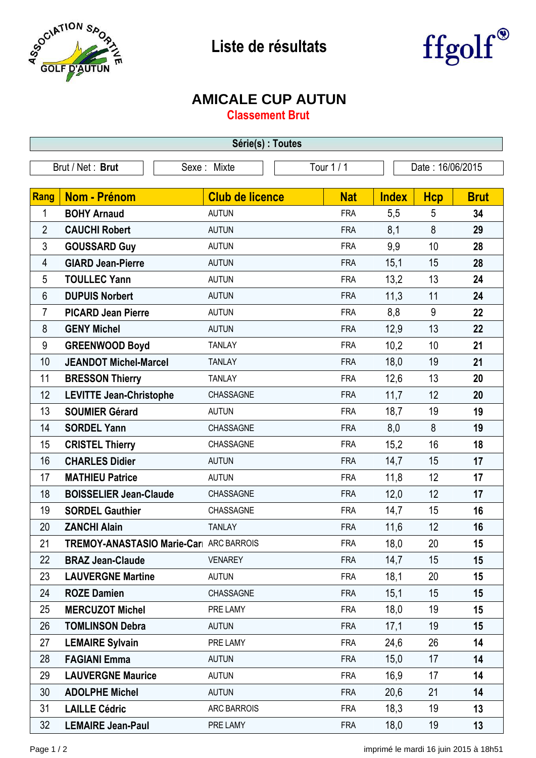

## **Liste de résultats**



## **AMICALE CUP AUTUN**

**Classement Brut**

| Série(s) : Toutes |                                               |                           |            |                  |            |             |  |  |  |
|-------------------|-----------------------------------------------|---------------------------|------------|------------------|------------|-------------|--|--|--|
| Brut / Net: Brut  |                                               | Tour 1 / 1<br>Sexe: Mixte |            | Date: 16/06/2015 |            |             |  |  |  |
|                   |                                               |                           |            |                  |            |             |  |  |  |
| <b>Rang</b>       | <b>Nom - Prénom</b>                           | <b>Club de licence</b>    | <b>Nat</b> | <b>Index</b>     | <b>Hcp</b> | <b>Brut</b> |  |  |  |
| 1                 | <b>BOHY Arnaud</b>                            | <b>AUTUN</b>              | <b>FRA</b> | 5,5              | 5          | 34          |  |  |  |
| $\overline{2}$    | <b>CAUCHI Robert</b>                          | <b>AUTUN</b>              | <b>FRA</b> | 8,1              | 8          | 29          |  |  |  |
| 3                 | <b>GOUSSARD Guy</b>                           | <b>AUTUN</b>              | <b>FRA</b> | 9,9              | 10         | 28          |  |  |  |
| 4                 | <b>GIARD Jean-Pierre</b>                      | <b>AUTUN</b>              | <b>FRA</b> | 15,1             | 15         | 28          |  |  |  |
| 5                 | <b>TOULLEC Yann</b>                           | <b>AUTUN</b>              | <b>FRA</b> | 13,2             | 13         | 24          |  |  |  |
| 6                 | <b>DUPUIS Norbert</b>                         | <b>AUTUN</b>              | <b>FRA</b> | 11,3             | 11         | 24          |  |  |  |
| 7                 | <b>PICARD Jean Pierre</b>                     | <b>AUTUN</b>              | <b>FRA</b> | 8,8              | 9          | 22          |  |  |  |
| 8                 | <b>GENY Michel</b>                            | <b>AUTUN</b>              | <b>FRA</b> | 12,9             | 13         | 22          |  |  |  |
| $9\,$             | <b>GREENWOOD Boyd</b>                         | <b>TANLAY</b>             | <b>FRA</b> | 10,2             | 10         | 21          |  |  |  |
| 10                | <b>JEANDOT Michel-Marcel</b>                  | <b>TANLAY</b>             | <b>FRA</b> | 18,0             | 19         | 21          |  |  |  |
| 11                | <b>BRESSON Thierry</b>                        | <b>TANLAY</b>             | <b>FRA</b> | 12,6             | 13         | 20          |  |  |  |
| 12                | <b>LEVITTE Jean-Christophe</b>                | CHASSAGNE                 | <b>FRA</b> | 11,7             | 12         | 20          |  |  |  |
| 13                | <b>SOUMIER Gérard</b>                         | <b>AUTUN</b>              | <b>FRA</b> | 18,7             | 19         | 19          |  |  |  |
| 14                | <b>SORDEL Yann</b>                            | CHASSAGNE                 | <b>FRA</b> | 8,0              | 8          | 19          |  |  |  |
| 15                | <b>CRISTEL Thierry</b>                        | CHASSAGNE                 | <b>FRA</b> | 15,2             | 16         | 18          |  |  |  |
| 16                | <b>CHARLES Didier</b>                         | <b>AUTUN</b>              | <b>FRA</b> | 14,7             | 15         | 17          |  |  |  |
| 17                | <b>MATHIEU Patrice</b>                        | <b>AUTUN</b>              | <b>FRA</b> | 11,8             | 12         | 17          |  |  |  |
| 18                | <b>BOISSELIER Jean-Claude</b>                 | CHASSAGNE                 | <b>FRA</b> | 12,0             | 12         | 17          |  |  |  |
| 19                | <b>SORDEL Gauthier</b>                        | CHASSAGNE                 | <b>FRA</b> | 14,7             | 15         | 16          |  |  |  |
| 20                | <b>ZANCHI Alain</b>                           | <b>TANLAY</b>             | <b>FRA</b> | 11,6             | 12         | 16          |  |  |  |
| 21                | <b>TREMOY-ANASTASIO Marie-Car</b> ARC BARROIS |                           | <b>FRA</b> | 18,0             | 20         | 15          |  |  |  |
| 22                | <b>BRAZ Jean-Claude</b>                       | <b>VENAREY</b>            | <b>FRA</b> | 14,7             | 15         | 15          |  |  |  |
| 23                | <b>LAUVERGNE Martine</b>                      | <b>AUTUN</b>              | <b>FRA</b> | 18,1             | 20         | 15          |  |  |  |
| 24                | <b>ROZE Damien</b>                            | CHASSAGNE                 | <b>FRA</b> | 15,1             | 15         | 15          |  |  |  |
| 25                | <b>MERCUZOT Michel</b>                        | PRE LAMY                  | <b>FRA</b> | 18,0             | 19         | 15          |  |  |  |
| 26                | <b>TOMLINSON Debra</b>                        | <b>AUTUN</b>              | <b>FRA</b> | 17,1             | 19         | 15          |  |  |  |
| 27                | <b>LEMAIRE Sylvain</b>                        | PRE LAMY                  | <b>FRA</b> | 24,6             | 26         | 14          |  |  |  |
| 28                | <b>FAGIANI Emma</b>                           | <b>AUTUN</b>              | <b>FRA</b> | 15,0             | 17         | 14          |  |  |  |
| 29                | <b>LAUVERGNE Maurice</b>                      | <b>AUTUN</b>              | <b>FRA</b> | 16,9             | 17         | 14          |  |  |  |
| 30                | <b>ADOLPHE Michel</b>                         | <b>AUTUN</b>              | <b>FRA</b> | 20,6             | 21         | 14          |  |  |  |
| 31                | <b>LAILLE Cédric</b>                          | ARC BARROIS               | <b>FRA</b> | 18,3             | 19         | 13          |  |  |  |
| 32                | <b>LEMAIRE Jean-Paul</b>                      | PRE LAMY                  | <b>FRA</b> | 18,0             | 19         | 13          |  |  |  |